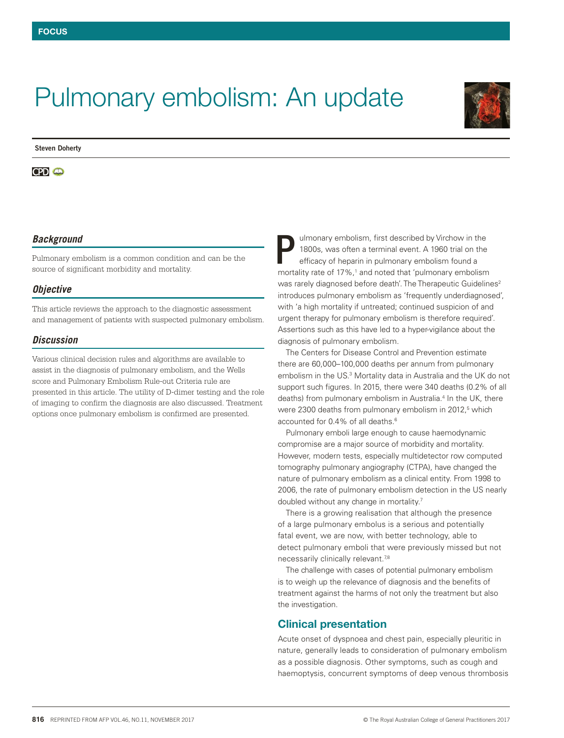# Pulmonary embolism: An update



#### **Steven Doherty**

#### **CPD @**

## *Background*

Pulmonary embolism is a common condition and can be the source of significant morbidity and mortality.

#### *Objective*

This article reviews the approach to the diagnostic assessment and management of patients with suspected pulmonary embolism.

## *Discussion*

Various clinical decision rules and algorithms are available to assist in the diagnosis of pulmonary embolism, and the Wells score and Pulmonary Embolism Rule-out Criteria rule are presented in this article. The utility of D-dimer testing and the role of imaging to confirm the diagnosis are also discussed. Treatment options once pulmonary embolism is confirmed are presented.

P ulmonary embolism, first described by Virchow in the 1800s, was often a terminal event. A 1960 trial on the efficacy of heparin in pulmonary embolism found a 1800s, was often a terminal event. A 1960 trial on the efficacy of heparin in pulmonary embolism found a mortality rate of 17%,<sup>1</sup> and noted that 'pulmonary embolism was rarely diagnosed before death'. The Therapeutic Guidelines<sup>2</sup> introduces pulmonary embolism as 'frequently underdiagnosed', with 'a high mortality if untreated; continued suspicion of and urgent therapy for pulmonary embolism is therefore required'. Assertions such as this have led to a hyper-vigilance about the diagnosis of pulmonary embolism.

The Centers for Disease Control and Prevention estimate there are 60,000–100,000 deaths per annum from pulmonary embolism in the US.<sup>3</sup> Mortality data in Australia and the UK do not support such figures. In 2015, there were 340 deaths (0.2% of all deaths) from pulmonary embolism in Australia.<sup>4</sup> In the UK, there were 2300 deaths from pulmonary embolism in 2012,<sup>5</sup> which accounted for 0.4% of all deaths.<sup>6</sup>

Pulmonary emboli large enough to cause haemodynamic compromise are a major source of morbidity and mortality. However, modern tests, especially multidetector row computed tomography pulmonary angiography (CTPA), have changed the nature of pulmonary embolism as a clinical entity. From 1998 to 2006, the rate of pulmonary embolism detection in the US nearly doubled without any change in mortality.7

There is a growing realisation that although the presence of a large pulmonary embolus is a serious and potentially fatal event, we are now, with better technology, able to detect pulmonary emboli that were previously missed but not necessarily clinically relevant.<sup>7,8</sup>

The challenge with cases of potential pulmonary embolism is to weigh up the relevance of diagnosis and the benefits of treatment against the harms of not only the treatment but also the investigation.

# Clinical presentation

Acute onset of dyspnoea and chest pain, especially pleuritic in nature, generally leads to consideration of pulmonary embolism as a possible diagnosis. Other symptoms, such as cough and haemoptysis, concurrent symptoms of deep venous thrombosis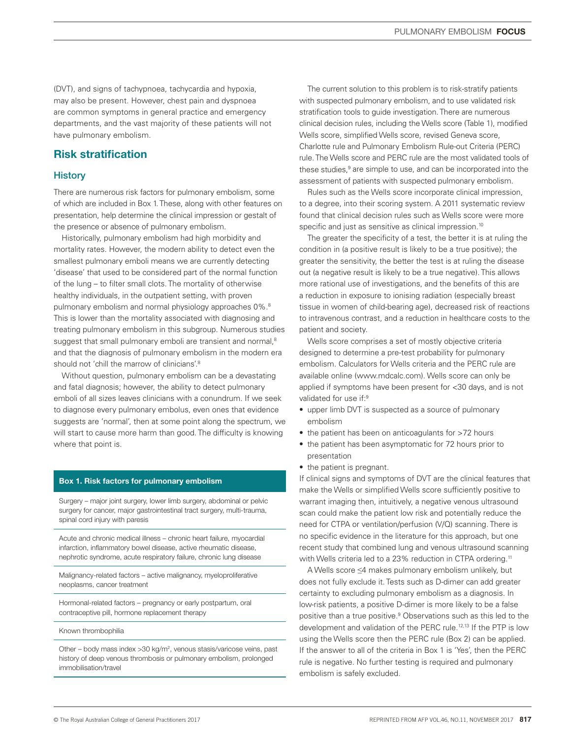(DVT), and signs of tachypnoea, tachycardia and hypoxia, may also be present. However, chest pain and dyspnoea are common symptoms in general practice and emergency departments, and the vast majority of these patients will not have pulmonary embolism.

# Risk stratification

## **History**

There are numerous risk factors for pulmonary embolism, some of which are included in Box 1. These, along with other features on presentation, help determine the clinical impression or gestalt of the presence or absence of pulmonary embolism.

Historically, pulmonary embolism had high morbidity and mortality rates. However, the modern ability to detect even the smallest pulmonary emboli means we are currently detecting 'disease' that used to be considered part of the normal function of the lung – to filter small clots. The mortality of otherwise healthy individuals, in the outpatient setting, with proven pulmonary embolism and normal physiology approaches 0%.8 This is lower than the mortality associated with diagnosing and treating pulmonary embolism in this subgroup. Numerous studies suggest that small pulmonary emboli are transient and normal,<sup>8</sup> and that the diagnosis of pulmonary embolism in the modern era should not 'chill the marrow of clinicians'.<sup>8</sup>

Without question, pulmonary embolism can be a devastating and fatal diagnosis; however, the ability to detect pulmonary emboli of all sizes leaves clinicians with a conundrum. If we seek to diagnose every pulmonary embolus, even ones that evidence suggests are 'normal', then at some point along the spectrum, we will start to cause more harm than good. The difficulty is knowing where that point is.

#### Box 1. Risk factors for pulmonary embolism

Surgery – major joint surgery, lower limb surgery, abdominal or pelvic surgery for cancer, major gastrointestinal tract surgery, multi-trauma, spinal cord injury with paresis

Acute and chronic medical illness – chronic heart failure, myocardial infarction, inflammatory bowel disease, active rheumatic disease, nephrotic syndrome, acute respiratory failure, chronic lung disease

Malignancy-related factors – active malignancy, myeloproliferative neoplasms, cancer treatment

Hormonal-related factors – pregnancy or early postpartum, oral contraceptive pill, hormone replacement therapy

Known thrombophilia

Other – body mass index > 30 kg/m<sup>2</sup>, venous stasis/varicose veins, past history of deep venous thrombosis or pulmonary embolism, prolonged immobilisation/travel

The current solution to this problem is to risk-stratify patients with suspected pulmonary embolism, and to use validated risk stratification tools to guide investigation. There are numerous clinical decision rules, including the Wells score (Table 1), modified Wells score, simplified Wells score, revised Geneva score, Charlotte rule and Pulmonary Embolism Rule-out Criteria (PERC) rule. The Wells score and PERC rule are the most validated tools of these studies,<sup>9</sup> are simple to use, and can be incorporated into the assessment of patients with suspected pulmonary embolism.

Rules such as the Wells score incorporate clinical impression, to a degree, into their scoring system. A 2011 systematic review found that clinical decision rules such as Wells score were more specific and just as sensitive as clinical impression.<sup>10</sup>

The greater the specificity of a test, the better it is at ruling the condition in (a positive result is likely to be a true positive); the greater the sensitivity, the better the test is at ruling the disease out (a negative result is likely to be a true negative). This allows more rational use of investigations, and the benefits of this are a reduction in exposure to ionising radiation (especially breast tissue in women of child-bearing age), decreased risk of reactions to intravenous contrast, and a reduction in healthcare costs to the patient and society.

Wells score comprises a set of mostly objective criteria designed to determine a pre-test probability for pulmonary embolism. Calculators for Wells criteria and the PERC rule are available online (www.mdcalc.com). Wells score can only be applied if symptoms have been present for <30 days, and is not validated for use if:<sup>9</sup>

- upper limb DVT is suspected as a source of pulmonary embolism
- the patient has been on anticoagulants for >72 hours
- the patient has been asymptomatic for 72 hours prior to presentation
- the patient is pregnant.

If clinical signs and symptoms of DVT are the clinical features that make the Wells or simplified Wells score sufficiently positive to warrant imaging then, intuitively, a negative venous ultrasound scan could make the patient low risk and potentially reduce the need for CTPA or ventilation/perfusion (V/Q) scanning. There is no specific evidence in the literature for this approach, but one recent study that combined lung and venous ultrasound scanning with Wells criteria led to a 23% reduction in CTPA ordering.<sup>11</sup>

A Wells score ≤4 makes pulmonary embolism unlikely, but does not fully exclude it. Tests such as D-dimer can add greater certainty to excluding pulmonary embolism as a diagnosis. In low-risk patients, a positive D-dimer is more likely to be a false positive than a true positive.<sup>9</sup> Observations such as this led to the development and validation of the PERC rule.<sup>12,13</sup> If the PTP is low using the Wells score then the PERC rule (Box 2) can be applied. If the answer to all of the criteria in Box 1 is 'Yes', then the PERC rule is negative. No further testing is required and pulmonary embolism is safely excluded.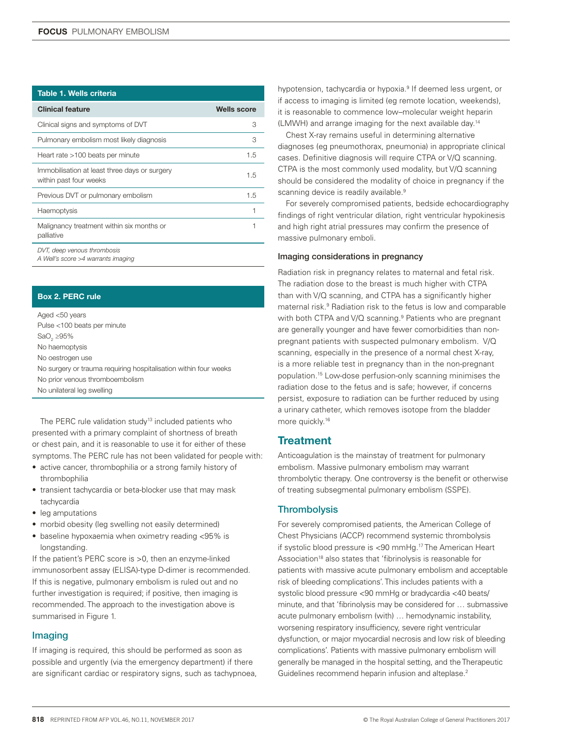| Table 1. Wells criteria                                                 |                    |
|-------------------------------------------------------------------------|--------------------|
| <b>Clinical feature</b>                                                 | <b>Wells score</b> |
| Clinical signs and symptoms of DVT                                      | З                  |
| Pulmonary embolism most likely diagnosis                                | З                  |
| Heart rate >100 beats per minute                                        | 1.5                |
| Immobilisation at least three days or surgery<br>within past four weeks | 1.5                |
| Previous DVT or pulmonary embolism                                      | 1.5                |
| Haemoptysis                                                             |                    |
| Malignancy treatment within six months or<br>palliative                 |                    |
| DVT, deep venous thrombosis                                             |                    |

*A Well's score >4 warrants imaging*

#### Box 2. PERC rule

Aged <50 years Pulse <100 beats per minute SaO $_2$  ≥95% No haemoptysis No oestrogen use No surgery or trauma requiring hospitalisation within four weeks No prior venous thromboembolism No unilateral leg swelling

The PERC rule validation study<sup>13</sup> included patients who presented with a primary complaint of shortness of breath or chest pain, and it is reasonable to use it for either of these symptoms. The PERC rule has not been validated for people with:

- active cancer, thrombophilia or a strong family history of thrombophilia
- transient tachycardia or beta-blocker use that may mask tachycardia
- leg amputations
- morbid obesity (leg swelling not easily determined)
- baseline hypoxaemia when oximetry reading <95% is longstanding.

If the patient's PERC score is >0, then an enzyme-linked immunosorbent assay (ELISA)-type D-dimer is recommended. If this is negative, pulmonary embolism is ruled out and no further investigation is required; if positive, then imaging is recommended. The approach to the investigation above is summarised in Figure 1.

## Imaging

If imaging is required, this should be performed as soon as possible and urgently (via the emergency department) if there are significant cardiac or respiratory signs, such as tachypnoea,

hypotension, tachycardia or hypoxia.<sup>9</sup> If deemed less urgent, or if access to imaging is limited (eg remote location, weekends), it is reasonable to commence low–molecular weight heparin (LMWH) and arrange imaging for the next available day.14

Chest X-ray remains useful in determining alternative diagnoses (eg pneumothorax, pneumonia) in appropriate clinical cases. Definitive diagnosis will require CTPA or V/Q scanning. CTPA is the most commonly used modality, but V/Q scanning should be considered the modality of choice in pregnancy if the scanning device is readily available.<sup>9</sup>

For severely compromised patients, bedside echocardiography findings of right ventricular dilation, right ventricular hypokinesis and high right atrial pressures may confirm the presence of massive pulmonary emboli.

#### Imaging considerations in pregnancy

Radiation risk in pregnancy relates to maternal and fetal risk. The radiation dose to the breast is much higher with CTPA than with V/Q scanning, and CTPA has a significantly higher maternal risk.9 Radiation risk to the fetus is low and comparable with both CTPA and V/Q scanning.<sup>9</sup> Patients who are pregnant are generally younger and have fewer comorbidities than nonpregnant patients with suspected pulmonary embolism. V/Q scanning, especially in the presence of a normal chest X-ray, is a more reliable test in pregnancy than in the non-pregnant population.15 Low-dose perfusion-only scanning minimises the radiation dose to the fetus and is safe; however, if concerns persist, exposure to radiation can be further reduced by using a urinary catheter, which removes isotope from the bladder more quickly.<sup>16</sup>

# **Treatment**

Anticoagulation is the mainstay of treatment for pulmonary embolism. Massive pulmonary embolism may warrant thrombolytic therapy. One controversy is the benefit or otherwise of treating subsegmental pulmonary embolism (SSPE).

#### **Thrombolysis**

For severely compromised patients, the American College of Chest Physicians (ACCP) recommend systemic thrombolysis if systolic blood pressure is <90 mmHg.17 The American Heart Association<sup>18</sup> also states that 'fibrinolysis is reasonable for patients with massive acute pulmonary embolism and acceptable risk of bleeding complications'. This includes patients with a systolic blood pressure <90 mmHg or bradycardia <40 beats/ minute, and that 'fibrinolysis may be considered for … submassive acute pulmonary embolism (with) … hemodynamic instability, worsening respiratory insufficiency, severe right ventricular dysfunction, or major myocardial necrosis and low risk of bleeding complications'. Patients with massive pulmonary embolism will generally be managed in the hospital setting, and the Therapeutic Guidelines recommend heparin infusion and alteplase.2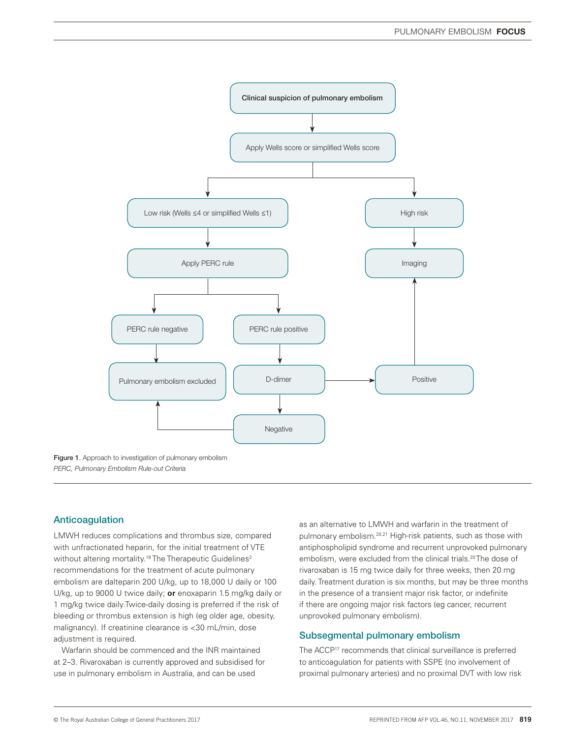

*PERC, Pulmonary Embolism Rule-out Criteria*

## Anticoagulation

LMWH reduces complications and thrombus size, compared with unfractionated heparin, for the initial treatment of VTE without altering mortality.<sup>19</sup> The Therapeutic Guidelines<sup>2</sup> recommendations for the treatment of acute pulmonary embolism are dalteparin 200 U/kg, up to 18,000 U daily or 100 U/kg, up to 9000 U twice daily; **or** enoxaparin 1.5 mg/kg daily or 1 mg/kg twice daily.Twice-daily dosing is preferred if the risk of bleeding or thrombus extension is high (eg older age, obesity, malignancy). If creatinine clearance is <30 mL/min, dose adjustment is required.

Warfarin should be commenced and the INR maintained at 2–3. Rivaroxaban is currently approved and subsidised for use in pulmonary embolism in Australia, and can be used

as an alternative to LMWH and warfarin in the treatment of pulmonary embolism.20,21 High-risk patients, such as those with antiphospholipid syndrome and recurrent unprovoked pulmonary embolism, were excluded from the clinical trials.<sup>20</sup>The dose of rivaroxaban is 15 mg twice daily for three weeks, then 20 mg daily. Treatment duration is six months, but may be three months in the presence of a transient major risk factor, or indefinite if there are ongoing major risk factors (eg cancer, recurrent unprovoked pulmonary embolism).

## Subsegmental pulmonary embolism

The ACCP<sup>17</sup> recommends that clinical surveillance is preferred to anticoagulation for patients with SSPE (no involvement of proximal pulmonary arteries) and no proximal DVT with low risk